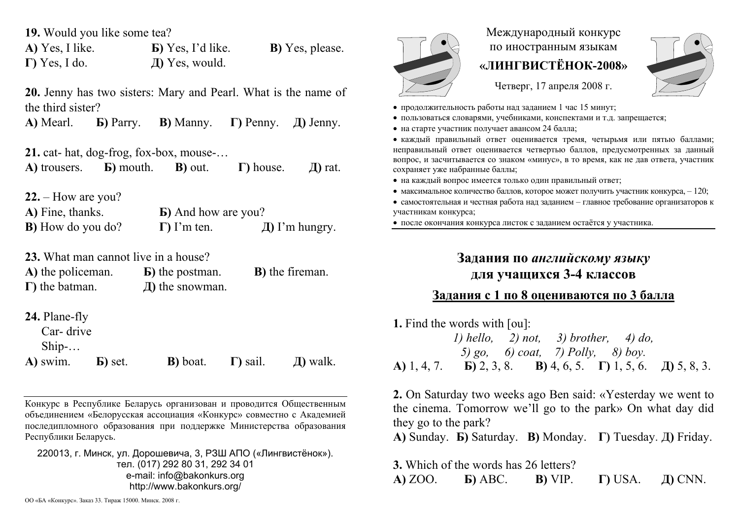**19.** Would you like some tea?

**А)** Yes, I like. **Б)** Yes, I'd like. **В)** Yes, please. **Г)** Yes, I do. **Д)** Yes, would.

**20.** Jenny has two sisters: Mary and Pearl. What is the name of the third sister?

**А)** Mearl. **Б)** Parry. **В)** Manny. **Г)** Penny. **Д)** Jenny.

**21.** cat- hat, dog-frog, fox-box, mouse-…

**А)** trousers. **Б)** mouth. **В)** out. **Г)** house. **Д)** rat.

**22.** – How are you?

**А)** Fine, thanks. **Б)** And how are you? **B**) How do you do?  $\Gamma$  I'm ten.  $\Box$  I'm hungry.

**23.** What man cannot live in a house?

| A) the policeman.      | <b>B</b> ) the postman. | <b>B</b> ) the fireman. |
|------------------------|-------------------------|-------------------------|
| $\Gamma$ ) the batman. | $\pi$ ) the snowman.    |                         |

**24.** Plane-fly

Car- drive

Ship-…

**А)** swim. **Б)** set. **В)** boat. **Г)** sail. **Д)** walk.

Конкурс <sup>в</sup> Республике Беларусь организован <sup>и</sup> проводится Общественным объединением «Белорусская ассоциация «Конкурс» совместно <sup>с</sup> Академией последипломного образования при поддержке Министерства образования Республики Беларусь.

220013, <sup>г</sup>. Минск, ул. Дорошевича, 3, РЗШ АПО («Лингвистёнок»). тел. (017) 292 80 31, 292 34 01 e-mail: info@bakonkurs.org http://www.bakonkurs.org/

Международный конкурс по иностранным языкам **«ЛИНГВИСТЁНОК-2008»** 

Четверг, 17 апреля 2008 <sup>г</sup>.



продолжительность работы над заданием 1 час 15 минут;

- пользоваться словарями, учебниками, конспектами <sup>и</sup> <sup>т</sup>.д. запрещается;
- на старте участник получает авансом 24 балла;

 каждый правильный ответ оценивается тремя, четырьмя или пятью баллами; неправильный ответ оценивается четвертью баллов, предусмотренных за данный вопрос, <sup>и</sup> засчитывается со знаком «минус», <sup>в</sup> то время, как не дав ответа, участник сохраняет уже набранные баллы;

- на каждый вопрос имеется только один правильный ответ;
- максимальное количество баллов, которое может получить участник конкурса,  $-120$ ;

 самостоятельная и честная работа над заданием – главное требование организаторов <sup>к</sup> участникам конкурса;

после окончания конкурса листок <sup>с</sup> заданием остаётся у участника.

## **Задания по** *английскому языку* **для учащихся 3-4 классов**

## **Задания <sup>с</sup> 1 по 8 оцениваются по 3 балла**

**1.** Find the words with [ou]: *1) hello, 2) not, 3) brother, 4) do, 5) go, 6) coat, 7) Polly, 8) boy.*  **А)** 1, 4, 7. **Б)** 2, 3, 8. **В)** 4, 6, 5. **Г)** 1, 5, 6. **Д)** 5, 8, 3.

**2.** On Saturday two weeks ago Ben said: «Yesterday we went to the cinema. Tomorrow we'll go to the park» On what day did they go to the park?

**А)** Sunday. **Б)** Saturday. **В)** Monday. **Г)** Tuesday. **Д)** Friday.

**3.** Which of the words has 26 letters? **А)** ZOO. **Б)** ABC. **В)** VIP. **Г)** USA. **Д)** CNN.

ОО «БА «Конкурс». Заказ 33. Тираж 15000. Минск. 2008 <sup>г</sup>.